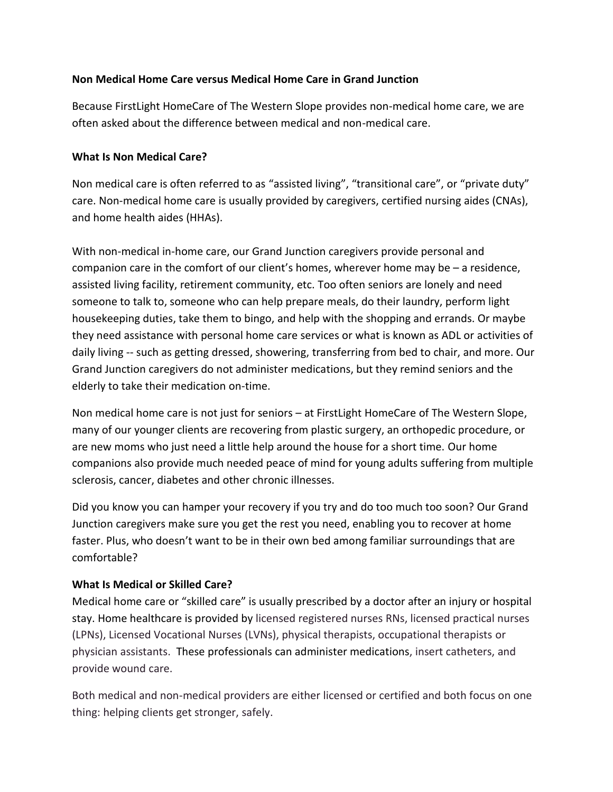## **Non Medical Home Care versus Medical Home Care in Grand Junction**

Because FirstLight HomeCare of The Western Slope provides non-medical home care, we are often asked about the difference between medical and non-medical care.

## **What Is Non Medical Care?**

Non medical care is often referred to as "assisted living", "transitional care", or "private duty" care. Non-medical home care is usually provided by caregivers, certified nursing aides (CNAs), and home health aides (HHAs).

With non-medical in-home care, our Grand Junction caregivers provide personal and companion care in the comfort of our client's homes, wherever home may be – a residence, assisted living facility, retirement community, etc. Too often seniors are lonely and need someone to talk to, someone who can help prepare meals, do their laundry, perform light housekeeping duties, take them to bingo, and help with the shopping and errands. Or maybe they need assistance with personal home care services or what is known as ADL or activities of daily living -- such as getting dressed, showering, transferring from bed to chair, and more. Our Grand Junction caregivers do not administer medications, but they remind seniors and the elderly to take their medication on-time.

Non medical home care is not just for seniors – at FirstLight HomeCare of The Western Slope, many of our younger clients are recovering from plastic surgery, an orthopedic procedure, or are new moms who just need a little help around the house for a short time. Our home companions also provide much needed peace of mind for young adults suffering from multiple sclerosis, cancer, diabetes and other chronic illnesses.

Did you know you can hamper your recovery if you try and do too much too soon? Our Grand Junction caregivers make sure you get the rest you need, enabling you to recover at home faster. Plus, who doesn't want to be in their own bed among familiar surroundings that are comfortable?

## **What Is Medical or Skilled Care?**

Medical home care or "skilled care" is usually prescribed by a doctor after an injury or hospital stay. Home healthcare is provided by licensed registered nurses RNs, licensed practical nurses (LPNs), Licensed Vocational Nurses (LVNs), physical therapists, occupational therapists or physician assistants. These professionals can administer medications, insert catheters, and provide wound care.

Both medical and non-medical providers are either licensed or certified and both focus on one thing: helping clients get stronger, safely.